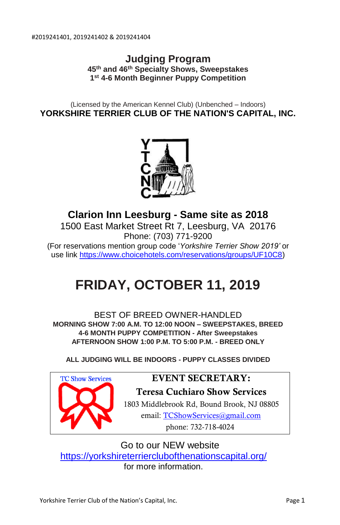# **Judging Program 45th and 46th Specialty Shows, Sweepstakes 1 st 4-6 Month Beginner Puppy Competition**

(Licensed by the American Kennel Club) (Unbenched – Indoors) **YORKSHIRE TERRIER CLUB OF THE NATION'S CAPITAL, INC.**



**Clarion Inn Leesburg - Same site as 2018** 1500 East Market Street Rt 7, Leesburg, VA 20176 Phone: (703) 771-9200 (For reservations mention group code '*Yorkshire Terrier Show 2019'* or use lin[k https://www.choicehotels.com/reservations/groups/UF10C8\)](https://www.choicehotels.com/reservations/groups/UF10C8)

# **FRIDAY, OCTOBER 11, 2019**

BEST OF BREED OWNER-HANDLED. **MORNING SHOW 7:00 A.M. TO 12:00 NOON – SWEEPSTAKES, BREED 4-6 MONTH PUPPY COMPETITION - After Sweepstakes AFTERNOON SHOW 1:00 P.M. TO 5:00 P.M. - BREED ONLY**

**ALL JUDGING WILL BE INDOORS - PUPPY CLASSES DIVIDED**



# **EVENT SECRETARY:**

**Teresa Cuchiaro Show Services** 1803 Middlebrook Rd, Bound Brook, NJ 08805 email: [TCShowServices@gmail.com](mailto:TCShowServices@gmail.com)  phone: 732-718-4024

Go to our NEW website

<https://yorkshireterrierclubofthenationscapital.org/>

for more information.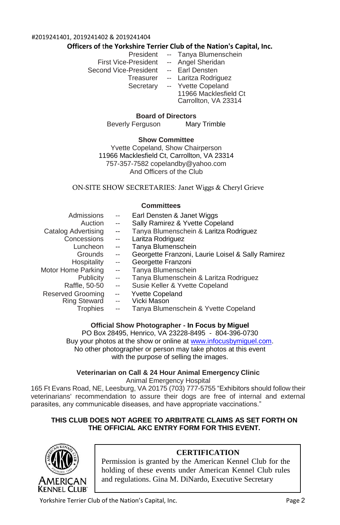#### #2019241401, 2019241402 & 2019241404

#### **Officers of** t**he Yorkshire Terrier Club of the Nation's Capital, Inc.**

- President -- Tanya Blumenschein
- First Vice-President -- Angel Sheridan
- Second Vice-President -- Earl Densten

- 
- Treasurer -- Laritza Rodriguez Secretary -- Yvette Copeland 11966 Macklesfield Ct Carrollton, VA 23314

**Board of Directors**

Beverly Ferguson Mary Trimble

#### **Show Committee**

Yvette Copeland, Show Chairperson 11966 Macklesfield Ct, Carrollton, VA 23314 757-357-7582 [copelandby@yahoo.com](mailto:copelandby@yahoo.com) And Officers of the Club

#### ON-SITE SHOW SECRETARIES: Janet Wiggs & Cheryl Grieve

#### **Committees**

| Admissions               | $\sim$ $\sim$            | Earl Densten & Janet Wiggs                        |
|--------------------------|--------------------------|---------------------------------------------------|
| Auction                  | $\overline{\phantom{a}}$ | Sally Ramirez & Yvette Copeland                   |
| Catalog Advertising      | $\overline{\phantom{a}}$ | Tanya Blumenschein & Laritza Rodriguez            |
| Concessions              | $\overline{\phantom{a}}$ | Laritza Rodriguez                                 |
| Luncheon                 | $\overline{\phantom{a}}$ | Tanya Blumenschein                                |
| Grounds                  | $\sim$                   | Georgette Franzoni, Laurie Loisel & Sally Ramirez |
| Hospitality              | $\overline{a}$           | Georgette Franzoni                                |
| Motor Home Parking       | --                       | Tanya Blumenschein                                |
| Publicity                | $\sim$                   | Tanya Blumenschein & Laritza Rodriguez            |
| Raffle, 50-50            | $\overline{\phantom{a}}$ | Susie Keller & Yvette Copeland                    |
| <b>Reserved Grooming</b> | $\overline{\phantom{a}}$ | <b>Yvette Copeland</b>                            |
| <b>Ring Steward</b>      | $\overline{\phantom{a}}$ | Vicki Mason                                       |
| <b>Trophies</b>          | $\overline{\phantom{a}}$ | Tanya Blumenschein & Yvette Copeland              |

#### **Official Show Photographer - In Focus by Miguel**

PO Box 28495, Henrico, VA 23228-8495 - 804-396-0730 Buy your photos at the show or online at [www.infocusbymiguel.com.](http://www.infocusbymiguel.com/)  No other photographer or person may take photos at this event with the purpose of selling the images.

#### **Veterinarian on Call & 24 Hour Animal Emergency Clinic** Animal Emergency Hospital

165 Ft Evans Road, NE, Leesburg, VA 20175 (703) 777-5755 "Exhibitors should follow their veterinarians' recommendation to assure their dogs are free of internal and external parasites, any communicable diseases, and have appropriate vaccinations."

#### **THIS CLUB DOES NOT AGREE TO ARBITRATE CLAIMS AS SET FORTH ON THE OFFICIAL AKC ENTRY FORM FOR THIS EVENT.**



## **CERTIFICATION**

Permission is granted by the American Kennel Club for the holding of these events under American Kennel Club rules and regulations. Gina M. DiNardo, Executive Secretary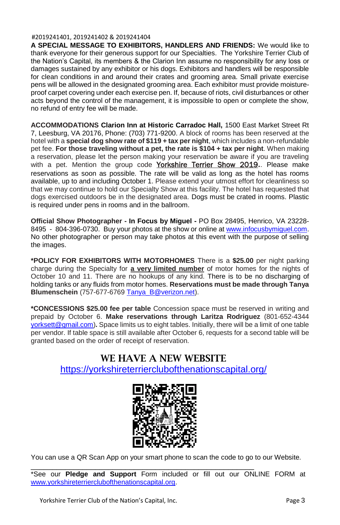#### #2019241401, 2019241402 & 2019241404

**A SPECIAL MESSAGE TO EXHIBITORS, HANDLERS AND FRIENDS:** We would like to thank everyone for their generous support for our Specialties. The Yorkshire Terrier Club of the Nation's Capital, its members & the Clarion Inn assume no responsibility for any loss or damages sustained by any exhibitor or his dogs. Exhibitors and handlers will be responsible for clean conditions in and around their crates and grooming area. Small private exercise pens will be allowed in the designated grooming area. Each exhibitor must provide moistureproof carpet covering under each exercise pen. If, because of riots, civil disturbances or other acts beyond the control of the management, it is impossible to open or complete the show, no refund of entry fee will be made.

**ACCOMMODATIONS Clarion Inn at Historic Carradoc Hall,** 1500 East Market Street Rt 7, Leesburg, VA 20176, Phone: (703) 771-9200. A block of rooms has been reserved at the hotel with a **special dog show rate of \$119 + tax per night**, which includes a non-refundable pet fee. **For those traveling without a pet, the rate is \$104 + tax per night**. When making a reservation, please let the person making your reservation be aware if you are traveling with a pet. Mention the group code Yorkshire Terrier Show 2019**.**. Please make reservations as soon as possible. The rate will be valid as long as the hotel has rooms available, up to and including October 1. Please extend your utmost effort for cleanliness so that we may continue to hold our Specialty Show at this facility. The hotel has requested that dogs exercised outdoors be in the designated area. Dogs must be crated in rooms. Plastic is required under pens in rooms and in the ballroom.

**Official Show Photographer - In Focus by Miguel -** PO Box 28495, Henrico, VA 23228- 8495 - 804-396-0730. Buy your photos at the show or online a[t www.infocusbymiguel.com.](http://www.infocusbymiguel.com/) No other photographer or person may take photos at this event with the purpose of selling the images.

**\*POLICY FOR EXHIBITORS WITH MOTORHOMES** There is a **\$25.00** per night parking charge during the Specialty for **a very limited number** of motor homes for the nights of October 10 and 11. There are no hookups of any kind. There is to be no discharging of holding tanks or any fluids from motor homes. **Reservations must be made through Tanya Blumenschein** (757-677-676[9 Tanya\\_B@verizon.net\)](mailto:Tanya_B@verizon.net).

**\*CONCESSIONS \$25.00 fee per table** Concession space must be reserved in writing and prepaid by October 6. **Make reservations through Laritza Rodriguez** (801-652-4344 [yorksett@gmail.com\)](mailto:yorksett@gmail.com)**.** Space limits us to eight tables. Initially, there will be a limit of one table per vendor. If table space is still available after October 6, requests for a second table will be granted based on the order of receipt of reservation.

# **WE HAVE A NEW WEBSITE** <https://yorkshireterrierclubofthenationscapital.org/>



You can use a QR Scan App on your smart phone to scan the code to go to our Website.

\_\_\_\_\_\_\_\_\_\_\_\_\_\_\_\_\_\_\_\_\_\_\_\_\_\_\_\_\_\_\_\_\_\_\_\_\_\_\_\_\_\_\_\_\_\_\_\_\_\_\_\_

\*See our **Pledge and Support** Form included or fill out our ONLINE FORM at [www.yorkshireterrierclubofthenationscapital.org.](http://www.yorkshireterrierclubofthenationscapital.org/)

Yorkshire Terrier Club of the Nation's Capital, Inc. The Manuscript of the National Page 3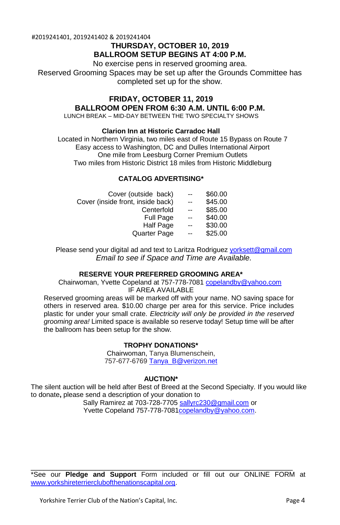#2019241401, 2019241402 & 2019241404

# **THURSDAY, OCTOBER 10, 2019 BALLROOM SETUP BEGINS AT 4:00 P.M.**

No exercise pens in reserved grooming area.

Reserved Grooming Spaces may be set up after the Grounds Committee has completed set up for the show.

# **FRIDAY, OCTOBER 11, 2019 BALLROOM OPEN FROM 6:30 A.M. UNTIL 6:00 P.M.**

LUNCH BREAK – MID-DAY BETWEEN THE TWO SPECIALTY SHOWS

#### **Clarion Inn at Historic Carradoc Hall**

Located in Northern Virginia, two miles east of Route 15 Bypass on Route 7 Easy access to Washington, DC and Dulles International Airport One mile from Leesburg Corner Premium Outlets Two miles from Historic District 18 miles from Historic Middleburg

#### **CATALOG ADVERTISING\***

| Cover (outside back)              | $\mathbf{u}$             | \$60.00 |
|-----------------------------------|--------------------------|---------|
| Cover (inside front, inside back) | $-$                      | \$45.00 |
| Centerfold                        | $\overline{\phantom{a}}$ | \$85.00 |
| <b>Full Page</b>                  | $\overline{a}$           | \$40.00 |
| Half Page                         | $\overline{\phantom{a}}$ | \$30.00 |
| <b>Quarter Page</b>               | $\sim$                   | \$25.00 |
|                                   |                          |         |

Please send your digital ad and text to Laritza Rodriguez [yorksett@gmail.com](mailto:yorksett@gmail.com) *Email to see if Space and Time are Available.*

#### **RESERVE YOUR PREFERRED GROOMING AREA\***

Chairwoman, Yvette Copeland at 757-778-7081 [copelandby@yahoo.com](mailto:copelandby@yahoo.com) IF AREA AVAILABLE

Reserved grooming areas will be marked off with your name. NO saving space for others in reserved area. \$10.00 charge per area for this service. Price includes plastic for under your small crate. *Electricity will only be provided in the reserved grooming area!* Limited space is available so reserve today! Setup time will be after the ballroom has been setup for the show.

#### **TROPHY DONATIONS\***

Chairwoman, Tanya Blumenschein, 757-677-6769 [Tanya\\_B@verizon.net](mailto:Tanya_B@verizon.net)

#### **AUCTION\***

The silent auction will be held after Best of Breed at the Second Specialty. If you would like to donate**,** please send a description of your donation to

Sally Ramirez at 703-728-770[5 sallyrc230@gmail.com](mailto:sallyrc230@gmail.com) or Yvette Copeland 757-778-708[1copelandby@yahoo.com.](mailto:copelandby@yahoo.com)

\_\_\_\_\_\_\_\_\_\_\_\_\_\_\_\_\_\_\_\_\_\_\_\_\_\_\_\_\_\_\_\_\_\_\_\_\_\_\_\_\_\_\_\_\_\_\_\_\_\_\_\_\_\_\_\_\_\_\_\_\_ \*See our **Pledge and Support** Form included or fill out our ONLINE FORM at [www.yorkshireterrierclubofthenationscapital.org.](http://www.yorkshireterrierclubofthenationscapital.org/)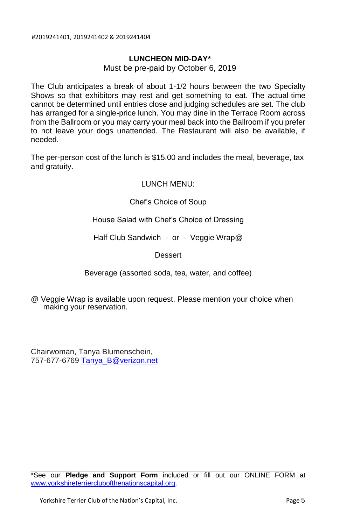### **LUNCHEON MID-DAY\***

Must be pre-paid by October 6, 2019

The Club anticipates a break of about 1-1/2 hours between the two Specialty Shows so that exhibitors may rest and get something to eat. The actual time cannot be determined until entries close and judging schedules are set. The club has arranged for a single-price lunch. You may dine in the Terrace Room across from the Ballroom or you may carry your meal back into the Ballroom if you prefer to not leave your dogs unattended. The Restaurant will also be available, if needed.

The per-person cost of the lunch is \$15.00 and includes the meal, beverage, tax and gratuity.

#### LUNCH MENU:

Chef's Choice of Soup

House Salad with Chef's Choice of Dressing

Half Club Sandwich - or - Veggie Wrap@

**Dessert** 

Beverage (assorted soda, tea, water, and coffee)

@ Veggie Wrap is available upon request. Please mention your choice when making your reservation.

Chairwoman, Tanya Blumenschein, 757-677-676[9 Tanya\\_B@verizon.net](mailto:Tanya_B@verizon.net)

\_\_\_\_\_\_\_\_\_\_\_\_\_\_\_\_\_\_\_\_\_\_\_\_\_\_\_\_\_\_\_\_\_\_\_\_\_\_\_\_\_\_\_\_\_\_\_\_\_\_\_\_\_\_\_\_\_\_\_\_\_

<sup>\*</sup>See our **Pledge and Support Form** included or fill out our ONLINE FORM at [www.yorkshireterrierclubofthenationscapital.org.](http://www.yorkshireterrierclubofthenationscapital.org/)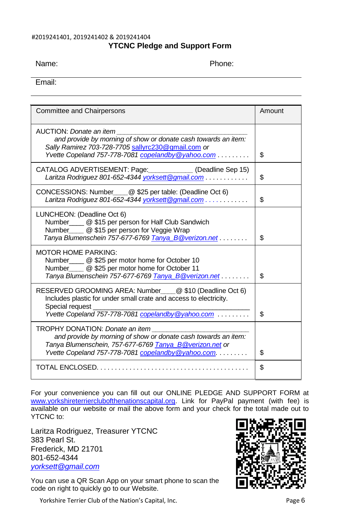### #2019241401, 2019241402 & 2019241404 **YTCNC Pledge and Support Form**

Name: The property of the property of the Phone:

Email:

| <b>Committee and Chairpersons</b>                                                                                                                                                                                  | Amount |
|--------------------------------------------------------------------------------------------------------------------------------------------------------------------------------------------------------------------|--------|
| AUCTION: Donate an item<br>and provide by morning of show or donate cash towards an item:<br>Sally Ramirez 703-728-7705 sallyrc230@gmail.com or<br>Yvette Copeland 757-778-7081 copelandby @yahoo.com              | \$     |
| CATALOG ADVERTISEMENT: Page: (Deadline Sep 15)<br>Laritza Rodriguez 801-652-4344 yorksett@gmail.com                                                                                                                | \$     |
| CONCESSIONS: Number @ \$25 per table: (Deadline Oct 6)<br>Laritza Rodriguez 801-652-4344 yorksett@gmail.com                                                                                                        | \$     |
| LUNCHEON: (Deadline Oct 6)<br>Number @ \$15 per person for Half Club Sandwich<br>Number_____ @ \$15 per person for Veggie Wrap<br>Tanya Blumenschein 757-677-6769 Tanya_B@verizon.net                              | \$     |
| MOTOR HOME PARKING:<br>Number @ \$25 per motor home for October 10<br>Number @ \$25 per motor home for October 11<br>Tanya Blumenschein 757-677-6769 Tanya_B@verizon.net                                           | \$     |
| RESERVED GROOMING AREA: Number @ \$10 (Deadline Oct 6)<br>Includes plastic for under small crate and access to electricity.<br>Special request<br>Yvette Copeland 757-778-7081 copelandby @yahoo.com               | \$     |
| TROPHY DONATION: Donate an item<br>and provide by morning of show or donate cash towards an item:<br>Tanya Blumenschein, 757-677-6769 Tanya_B@verizon.net or<br>Yvette Copeland 757-778-7081 copelandby @yahoo.com | \$     |
|                                                                                                                                                                                                                    | \$     |

For your convenience you can fill out our ONLINE PLEDGE AND SUPPORT FORM at [www.yorkshireterrierclubofthenationscapital.org.](http://www.yorkshireterrierclubofthenationscapital.org/) Link for PayPal payment (with fee) is available on our website or mail the above form and your check for the total made out to YTCNC to:

Laritza Rodriguez, Treasurer YTCNC 383 Pearl St. Frederick, MD 21701 801-652-4344 *[yorksett@gmail.com](mailto:yorksett@gmail.com)*

You can use a QR Scan App on your smart phone to scan the code on right to quickly go to our Website.

Yorkshire Terrier Club of the Nation's Capital, Inc. **Page 6** Page 6

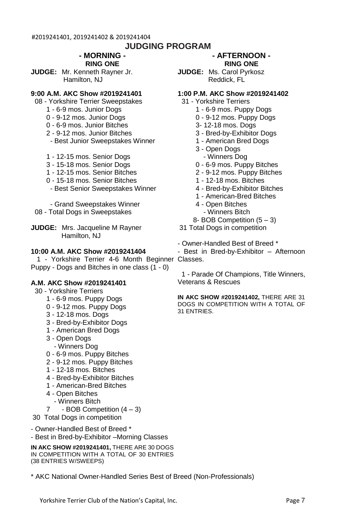# **JUDGING PROGRAM**

#### **- MORNING - RING ONE**

**JUDGE:** Mr. Kenneth Rayner Jr. Hamilton, NJ

#### **9:00 A.M. AKC Show #2019241401**

- 08 Yorkshire Terrier Sweepstakes
	- 1 6-9 mos. Junior Dogs
	- 0 9-12 mos. Junior Dogs
	- 0 6-9 mos. Junior Bitches
	- 2 9-12 mos. Junior Bitches
	- Best Junior Sweepstakes Winner
	- 1 12-15 mos. Senior Dogs
	- 3 15-18 mos. Senior Dogs
	- 1 12-15 mos. Senior Bitches
	- 0 15-18 mos. Senior Bitches
	- Best Senior Sweepstakes Winner

 - Grand Sweepstakes Winner 08 - Total Dogs in Sweepstakes

**JUDGE:** Mrs. Jacqueline M Rayner Hamilton, NJ

#### **10:00 A.M. AKC Show #2019241404**

 1 - Yorkshire Terrier 4-6 Month Beginner Classes. Puppy - Dogs and Bitches in one class (1 - 0)

#### **A.M. AKC Show #2019241401**

- 30 Yorkshire Terriers
	- 1 6-9 mos. Puppy Dogs
	- 0 9-12 mos. Puppy Dogs
	- 3 12-18 mos. Dogs
	- 3 Bred-by-Exhibitor Dogs
	- 1 American Bred Dogs
	- 3 Open Dogs
	- Winners Dog
	- 0 6-9 mos. Puppy Bitches
	- 2 9-12 mos. Puppy Bitches
	- 1 12-18 mos. Bitches
	- 4 Bred-by-Exhibitor Bitches
	- 1 American-Bred Bitches
	- 4 Open Bitches
		- Winners Bitch
	- 7 BOB Competition (4 3)
- 30 Total Dogs in competition
- Owner-Handled Best of Breed \*
- Best in Bred-by-Exhibitor –Morning Classes

**IN AKC SHOW #2019241401,** THERE ARE 30 DOGS IN COMPETITION WITH A TOTAL OF 30 ENTRIES (38 ENTRIES W/SWEEPS)

\* AKC National Owner-Handled Series Best of Breed (Non-Professionals)

#### **- AFTERNOON - RING ONE**

**JUDGE:** Ms. Carol Pyrkosz Reddick, FL

#### **1:00 P.M. AKC Show #2019241402**

- 31 Yorkshire Terriers
	- 1 6-9 mos. Puppy Dogs
	- 0 9-12 mos. Puppy Dogs
	- 3- 12-18 mos. Dogs
	- 3 Bred-by-Exhibitor Dogs
	- 1 American Bred Dogs
	- 3 Open Dogs
		- Winners Dog
	- 0 6-9 mos. Puppy Bitches
	- 2 9-12 mos. Puppy Bitches
	- 1 12-18 mos. Bitches
	- 4 Bred-by-Exhibitor Bitches
	- 1 American-Bred Bitches
	- 4 Open Bitches
		- Winners Bitch
	- 8- BOB Competition (5 3)
- 31 Total Dogs in competition
- Owner-Handled Best of Breed \*

- Best in Bred-by-Exhibitor – Afternoon

 1 - Parade Of Champions, Title Winners, Veterans & Rescues

**IN AKC SHOW #2019241402,** THERE ARE 31 DOGS IN COMPETITION WITH A TOTAL OF 31 ENTRIES.